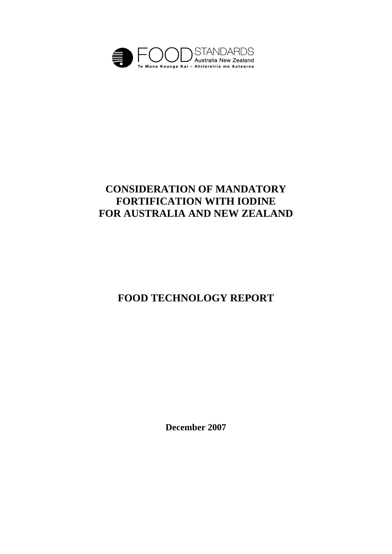

# **CONSIDERATION OF MANDATORY FORTIFICATION WITH IODINE FOR AUSTRALIA AND NEW ZEALAND**

# **FOOD TECHNOLOGY REPORT**

**December 2007**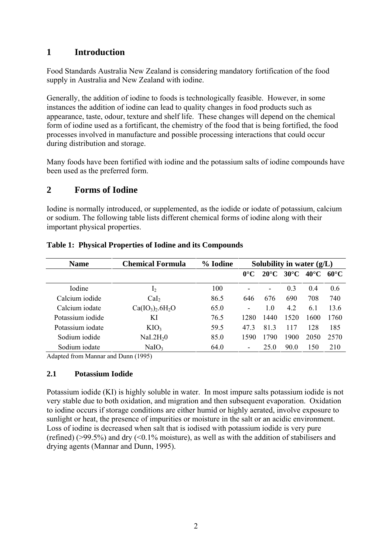## **1 Introduction**

Food Standards Australia New Zealand is considering mandatory fortification of the food supply in Australia and New Zealand with iodine.

Generally, the addition of iodine to foods is technologically feasible. However, in some instances the addition of iodine can lead to quality changes in food products such as appearance, taste, odour, texture and shelf life. These changes will depend on the chemical form of iodine used as a fortificant, the chemistry of the food that is being fortified, the food processes involved in manufacture and possible processing interactions that could occur during distribution and storage.

Many foods have been fortified with iodine and the potassium salts of iodine compounds have been used as the preferred form.

#### **2 Forms of Iodine**

Iodine is normally introduced, or supplemented, as the iodide or iodate of potassium, calcium or sodium. The following table lists different chemical forms of iodine along with their important physical properties.

| <b>Name</b>      | <b>Chemical Formula</b> | % Iodine | Solubility in water $(g/L)$ |                |                |                |                |
|------------------|-------------------------|----------|-----------------------------|----------------|----------------|----------------|----------------|
|                  |                         |          | $0^{\circ}C$                | $20^{\circ}$ C | $30^{\circ}$ C | $40^{\circ}$ C | $60^{\circ}$ C |
| Iodine           | 1 <sub>2</sub>          | 100      | ۰                           |                | 0.3            | 0.4            | 0.6            |
| Calcium iodide   | Cal <sub>2</sub>        | 86.5     | 646                         | 676            | 690            | 708            | 740            |
| Calcium iodate   | $Ca(IO_3)_2.6H_2O$      | 65.0     | $\overline{\phantom{0}}$    | 1.0            | 4.2            | 6.1            | 13.6           |
| Potassium iodide | KI                      | 76.5     | 1280                        | 1440           | 1520           | 1600           | 1760           |
| Potassium iodate | KIO <sub>3</sub>        | 59.5     | 473                         | 81.3           | 117            | 128            | 185            |
| Sodium iodide    | NaI.2H <sub>2</sub> 0   | 85.0     | 1590                        | 1790           | 1900           | 2050           | 2570           |
| Sodium iodate    | NaIO <sub>3</sub>       | 64.0     | $\overline{\phantom{0}}$    | 25.0           | 90.0           | 150            | 210            |

#### **Table 1: Physical Properties of Iodine and its Compounds**

Adapted from Mannar and Dunn (1995)

#### **2.1 Potassium Iodide**

Potassium iodide (KI) is highly soluble in water. In most impure salts potassium iodide is not very stable due to both oxidation, and migration and then subsequent evaporation. Oxidation to iodine occurs if storage conditions are either humid or highly aerated, involve exposure to sunlight or heat, the presence of impurities or moisture in the salt or an acidic environment. Loss of iodine is decreased when salt that is iodised with potassium iodide is very pure (refined) ( $>99.5\%$ ) and dry (<0.1% moisture), as well as with the addition of stabilisers and drying agents (Mannar and Dunn, 1995).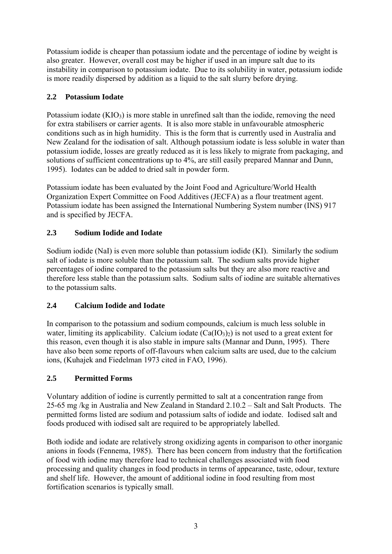Potassium iodide is cheaper than potassium iodate and the percentage of iodine by weight is also greater. However, overall cost may be higher if used in an impure salt due to its instability in comparison to potassium iodate. Due to its solubility in water, potassium iodide is more readily dispersed by addition as a liquid to the salt slurry before drying.

#### **2.2 Potassium Iodate**

Potassium iodate  $(KIO_3)$  is more stable in unrefined salt than the iodide, removing the need for extra stabilisers or carrier agents. It is also more stable in unfavourable atmospheric conditions such as in high humidity. This is the form that is currently used in Australia and New Zealand for the iodisation of salt. Although potassium iodate is less soluble in water than potassium iodide, losses are greatly reduced as it is less likely to migrate from packaging, and solutions of sufficient concentrations up to 4%, are still easily prepared Mannar and Dunn, 1995). Iodates can be added to dried salt in powder form.

Potassium iodate has been evaluated by the Joint Food and Agriculture/World Health Organization Expert Committee on Food Additives (JECFA) as a flour treatment agent. Potassium iodate has been assigned the International Numbering System number (INS) 917 and is specified by JECFA.

## **2.3 Sodium Iodide and Iodate**

Sodium iodide (NaI) is even more soluble than potassium iodide (KI). Similarly the sodium salt of iodate is more soluble than the potassium salt. The sodium salts provide higher percentages of iodine compared to the potassium salts but they are also more reactive and therefore less stable than the potassium salts. Sodium salts of iodine are suitable alternatives to the potassium salts.

## **2.4 Calcium Iodide and Iodate**

In comparison to the potassium and sodium compounds, calcium is much less soluble in water, limiting its applicability. Calcium iodate  $(Ca(IO<sub>3</sub>)<sub>2</sub>)$  is not used to a great extent for this reason, even though it is also stable in impure salts (Mannar and Dunn, 1995). There have also been some reports of off-flavours when calcium salts are used, due to the calcium ions, (Kuhajek and Fiedelman 1973 cited in FAO, 1996).

## **2.5 Permitted Forms**

Voluntary addition of iodine is currently permitted to salt at a concentration range from 25-65 mg /kg in Australia and New Zealand in Standard 2.10.2 – Salt and Salt Products. The permitted forms listed are sodium and potassium salts of iodide and iodate. Iodised salt and foods produced with iodised salt are required to be appropriately labelled.

Both iodide and iodate are relatively strong oxidizing agents in comparison to other inorganic anions in foods (Fennema, 1985). There has been concern from industry that the fortification of food with iodine may therefore lead to technical challenges associated with food processing and quality changes in food products in terms of appearance, taste, odour, texture and shelf life. However, the amount of additional iodine in food resulting from most fortification scenarios is typically small.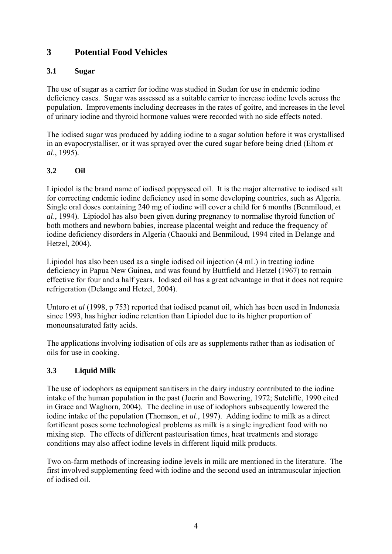## **3 Potential Food Vehicles**

#### **3.1 Sugar**

The use of sugar as a carrier for iodine was studied in Sudan for use in endemic iodine deficiency cases. Sugar was assessed as a suitable carrier to increase iodine levels across the population. Improvements including decreases in the rates of goitre, and increases in the level of urinary iodine and thyroid hormone values were recorded with no side effects noted.

The iodised sugar was produced by adding iodine to a sugar solution before it was crystallised in an evapocrystalliser, or it was sprayed over the cured sugar before being dried (Eltom *et al*., 1995).

## **3.2 Oil**

Lipiodol is the brand name of iodised poppyseed oil. It is the major alternative to iodised salt for correcting endemic iodine deficiency used in some developing countries, such as Algeria. Single oral doses containing 240 mg of iodine will cover a child for 6 months (Benmiloud, *et al*., 1994). Lipiodol has also been given during pregnancy to normalise thyroid function of both mothers and newborn babies, increase placental weight and reduce the frequency of iodine deficiency disorders in Algeria (Chaouki and Benmiloud, 1994 cited in Delange and Hetzel, 2004).

Lipiodol has also been used as a single iodised oil injection (4 mL) in treating iodine deficiency in Papua New Guinea, and was found by Buttfield and Hetzel (1967) to remain effective for four and a half years. Iodised oil has a great advantage in that it does not require refrigeration (Delange and Hetzel, 2004).

Untoro *et al* (1998, p 753) reported that iodised peanut oil, which has been used in Indonesia since 1993, has higher iodine retention than Lipiodol due to its higher proportion of monounsaturated fatty acids.

The applications involving iodisation of oils are as supplements rather than as iodisation of oils for use in cooking.

## **3.3 Liquid Milk**

The use of iodophors as equipment sanitisers in the dairy industry contributed to the iodine intake of the human population in the past (Joerin and Bowering, 1972; Sutcliffe, 1990 cited in Grace and Waghorn, 2004). The decline in use of iodophors subsequently lowered the iodine intake of the population (Thomson, *et al*., 1997). Adding iodine to milk as a direct fortificant poses some technological problems as milk is a single ingredient food with no mixing step. The effects of different pasteurisation times, heat treatments and storage conditions may also affect iodine levels in different liquid milk products.

Two on-farm methods of increasing iodine levels in milk are mentioned in the literature. The first involved supplementing feed with iodine and the second used an intramuscular injection of iodised oil.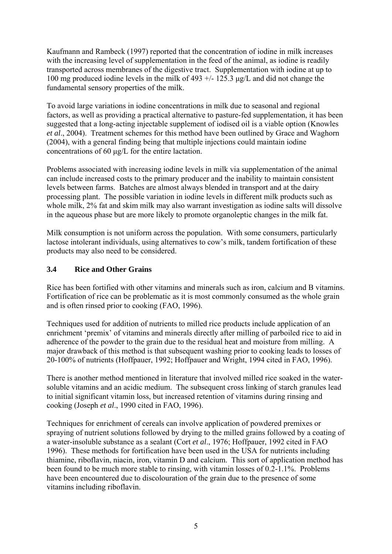Kaufmann and Rambeck (1997) reported that the concentration of iodine in milk increases with the increasing level of supplementation in the feed of the animal, as iodine is readily transported across membranes of the digestive tract. Supplementation with iodine at up to 100 mg produced iodine levels in the milk of 493 +/- 125.3 μg/L and did not change the fundamental sensory properties of the milk.

To avoid large variations in iodine concentrations in milk due to seasonal and regional factors, as well as providing a practical alternative to pasture-fed supplementation, it has been suggested that a long-acting injectable supplement of iodised oil is a viable option (Knowles *et al*., 2004). Treatment schemes for this method have been outlined by Grace and Waghorn (2004), with a general finding being that multiple injections could maintain iodine concentrations of 60 μg/L for the entire lactation.

Problems associated with increasing iodine levels in milk via supplementation of the animal can include increased costs to the primary producer and the inability to maintain consistent levels between farms. Batches are almost always blended in transport and at the dairy processing plant. The possible variation in iodine levels in different milk products such as whole milk, 2% fat and skim milk may also warrant investigation as iodine salts will dissolve in the aqueous phase but are more likely to promote organoleptic changes in the milk fat.

Milk consumption is not uniform across the population. With some consumers, particularly lactose intolerant individuals, using alternatives to cow's milk, tandem fortification of these products may also need to be considered.

#### **3.4 Rice and Other Grains**

Rice has been fortified with other vitamins and minerals such as iron, calcium and B vitamins. Fortification of rice can be problematic as it is most commonly consumed as the whole grain and is often rinsed prior to cooking (FAO, 1996).

Techniques used for addition of nutrients to milled rice products include application of an enrichment 'premix' of vitamins and minerals directly after milling of parboiled rice to aid in adherence of the powder to the grain due to the residual heat and moisture from milling. A major drawback of this method is that subsequent washing prior to cooking leads to losses of 20-100% of nutrients (Hoffpauer, 1992; Hoffpauer and Wright, 1994 cited in FAO, 1996).

There is another method mentioned in literature that involved milled rice soaked in the watersoluble vitamins and an acidic medium. The subsequent cross linking of starch granules lead to initial significant vitamin loss, but increased retention of vitamins during rinsing and cooking (Joseph *et al*., 1990 cited in FAO, 1996).

Techniques for enrichment of cereals can involve application of powdered premixes or spraying of nutrient solutions followed by drying to the milled grains followed by a coating of a water-insoluble substance as a sealant (Cort *et al*., 1976; Hoffpauer, 1992 cited in FAO 1996). These methods for fortification have been used in the USA for nutrients including thiamine, riboflavin, niacin, iron, vitamin D and calcium. This sort of application method has been found to be much more stable to rinsing, with vitamin losses of 0.2-1.1%. Problems have been encountered due to discolouration of the grain due to the presence of some vitamins including riboflavin.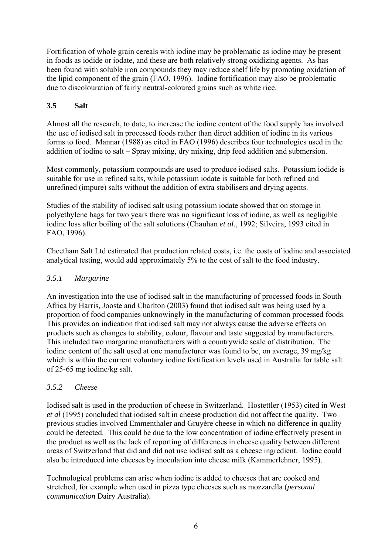Fortification of whole grain cereals with iodine may be problematic as iodine may be present in foods as iodide or iodate, and these are both relatively strong oxidizing agents. As has been found with soluble iron compounds they may reduce shelf life by promoting oxidation of the lipid component of the grain (FAO, 1996). Iodine fortification may also be problematic due to discolouration of fairly neutral-coloured grains such as white rice.

#### **3.5 Salt**

Almost all the research, to date, to increase the iodine content of the food supply has involved the use of iodised salt in processed foods rather than direct addition of iodine in its various forms to food. Mannar (1988) as cited in FAO (1996) describes four technologies used in the addition of iodine to salt – Spray mixing, dry mixing, drip feed addition and submersion.

Most commonly, potassium compounds are used to produce iodised salts. Potassium iodide is suitable for use in refined salts, while potassium iodate is suitable for both refined and unrefined (impure) salts without the addition of extra stabilisers and drying agents.

Studies of the stability of iodised salt using potassium iodate showed that on storage in polyethylene bags for two years there was no significant loss of iodine, as well as negligible iodine loss after boiling of the salt solutions (Chauhan *et al.*, 1992; Silveira, 1993 cited in FAO, 1996).

Cheetham Salt Ltd estimated that production related costs, i.e. the costs of iodine and associated analytical testing, would add approximately 5% to the cost of salt to the food industry.

#### *3.5.1 Margarine*

An investigation into the use of iodised salt in the manufacturing of processed foods in South Africa by Harris, Jooste and Charlton (2003) found that iodised salt was being used by a proportion of food companies unknowingly in the manufacturing of common processed foods. This provides an indication that iodised salt may not always cause the adverse effects on products such as changes to stability, colour, flavour and taste suggested by manufacturers. This included two margarine manufacturers with a countrywide scale of distribution. The iodine content of the salt used at one manufacturer was found to be, on average, 39 mg/kg which is within the current voluntary iodine fortification levels used in Australia for table salt of 25-65 mg iodine/kg salt.

#### *3.5.2 Cheese*

Iodised salt is used in the production of cheese in Switzerland. Hostettler (1953) cited in West *et al* (1995) concluded that iodised salt in cheese production did not affect the quality. Two previous studies involved Emmenthaler and Gruyère cheese in which no difference in quality could be detected. This could be due to the low concentration of iodine effectively present in the product as well as the lack of reporting of differences in cheese quality between different areas of Switzerland that did and did not use iodised salt as a cheese ingredient. Iodine could also be introduced into cheeses by inoculation into cheese milk (Kammerlehner, 1995).

Technological problems can arise when iodine is added to cheeses that are cooked and stretched, for example when used in pizza type cheeses such as mozzarella (*personal communication* Dairy Australia).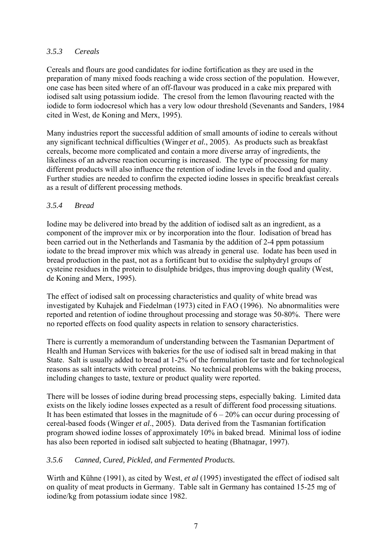#### *3.5.3 Cereals*

Cereals and flours are good candidates for iodine fortification as they are used in the preparation of many mixed foods reaching a wide cross section of the population. However, one case has been sited where of an off-flavour was produced in a cake mix prepared with iodised salt using potassium iodide. The cresol from the lemon flavouring reacted with the iodide to form iodocresol which has a very low odour threshold (Sevenants and Sanders, 1984 cited in West, de Koning and Merx, 1995).

Many industries report the successful addition of small amounts of iodine to cereals without any significant technical difficulties (Winger *et al.*, 2005). As products such as breakfast cereals, become more complicated and contain a more diverse array of ingredients, the likeliness of an adverse reaction occurring is increased. The type of processing for many different products will also influence the retention of iodine levels in the food and quality. Further studies are needed to confirm the expected iodine losses in specific breakfast cereals as a result of different processing methods.

#### *3.5.4 Bread*

Iodine may be delivered into bread by the addition of iodised salt as an ingredient, as a component of the improver mix or by incorporation into the flour. Iodisation of bread has been carried out in the Netherlands and Tasmania by the addition of 2-4 ppm potassium iodate to the bread improver mix which was already in general use. Iodate has been used in bread production in the past, not as a fortificant but to oxidise the sulphydryl groups of cysteine residues in the protein to disulphide bridges, thus improving dough quality (West, de Koning and Merx, 1995).

The effect of iodised salt on processing characteristics and quality of white bread was investigated by Kuhajek and Fiedelman (1973) cited in FAO (1996). No abnormalities were reported and retention of iodine throughout processing and storage was 50-80%. There were no reported effects on food quality aspects in relation to sensory characteristics.

There is currently a memorandum of understanding between the Tasmanian Department of Health and Human Services with bakeries for the use of iodised salt in bread making in that State. Salt is usually added to bread at 1-2% of the formulation for taste and for technological reasons as salt interacts with cereal proteins. No technical problems with the baking process, including changes to taste, texture or product quality were reported.

There will be losses of iodine during bread processing steps, especially baking. Limited data exists on the likely iodine losses expected as a result of different food processing situations. It has been estimated that losses in the magnitude of  $6 - 20\%$  can occur during processing of cereal-based foods (Winger *et al*., 2005). Data derived from the Tasmanian fortification program showed iodine losses of approximately 10% in baked bread. Minimal loss of iodine has also been reported in iodised salt subjected to heating (Bhatnagar, 1997).

#### *3.5.6 Canned, Cured, Pickled, and Fermented Products.*

Wirth and Kühne (1991), as cited by West, *et al* (1995) investigated the effect of iodised salt on quality of meat products in Germany. Table salt in Germany has contained 15-25 mg of iodine/kg from potassium iodate since 1982.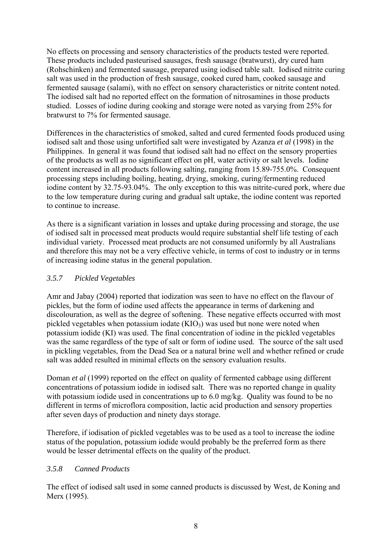No effects on processing and sensory characteristics of the products tested were reported. These products included pasteurised sausages, fresh sausage (bratwurst), dry cured ham (Rohschinken) and fermented sausage, prepared using iodised table salt. Iodised nitrite curing salt was used in the production of fresh sausage, cooked cured ham, cooked sausage and fermented sausage (salami), with no effect on sensory characteristics or nitrite content noted. The iodised salt had no reported effect on the formation of nitrosamines in those products studied. Losses of iodine during cooking and storage were noted as varying from 25% for bratwurst to 7% for fermented sausage.

Differences in the characteristics of smoked, salted and cured fermented foods produced using iodised salt and those using unfortified salt were investigated by Azanza *et al* (1998) in the Philippines. In general it was found that iodised salt had no effect on the sensory properties of the products as well as no significant effect on pH, water activity or salt levels. Iodine content increased in all products following salting, ranging from 15.89-755.0%. Consequent processing steps including boiling, heating, drying, smoking, curing/fermenting reduced iodine content by 32.75-93.04%. The only exception to this was nitrite-cured pork, where due to the low temperature during curing and gradual salt uptake, the iodine content was reported to continue to increase.

As there is a significant variation in losses and uptake during processing and storage, the use of iodised salt in processed meat products would require substantial shelf life testing of each individual variety. Processed meat products are not consumed uniformly by all Australians and therefore this may not be a very effective vehicle, in terms of cost to industry or in terms of increasing iodine status in the general population.

#### *3.5.7 Pickled Vegetables*

Amr and Jabay (2004) reported that iodization was seen to have no effect on the flavour of pickles, but the form of iodine used affects the appearance in terms of darkening and discolouration, as well as the degree of softening. These negative effects occurred with most pickled vegetables when potassium iodate  $(KIO_3)$  was used but none were noted when potassium iodide (KI) was used. The final concentration of iodine in the pickled vegetables was the same regardless of the type of salt or form of iodine used. The source of the salt used in pickling vegetables, from the Dead Sea or a natural brine well and whether refined or crude salt was added resulted in minimal effects on the sensory evaluation results.

Doman *et al* (1999) reported on the effect on quality of fermented cabbage using different concentrations of potassium iodide in iodised salt. There was no reported change in quality with potassium iodide used in concentrations up to 6.0 mg/kg. Quality was found to be no different in terms of microflora composition, lactic acid production and sensory properties after seven days of production and ninety days storage.

Therefore, if iodisation of pickled vegetables was to be used as a tool to increase the iodine status of the population, potassium iodide would probably be the preferred form as there would be lesser detrimental effects on the quality of the product.

#### *3.5.8 Canned Products*

The effect of iodised salt used in some canned products is discussed by West, de Koning and Merx (1995).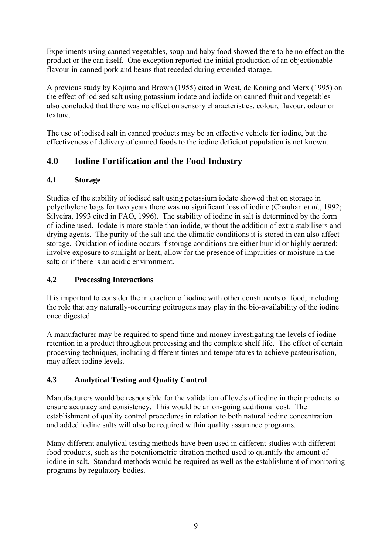Experiments using canned vegetables, soup and baby food showed there to be no effect on the product or the can itself. One exception reported the initial production of an objectionable flavour in canned pork and beans that receded during extended storage.

A previous study by Kojima and Brown (1955) cited in West, de Koning and Merx (1995) on the effect of iodised salt using potassium iodate and iodide on canned fruit and vegetables also concluded that there was no effect on sensory characteristics, colour, flavour, odour or texture.

The use of iodised salt in canned products may be an effective vehicle for iodine, but the effectiveness of delivery of canned foods to the iodine deficient population is not known.

# **4.0 Iodine Fortification and the Food Industry**

### **4.1 Storage**

Studies of the stability of iodised salt using potassium iodate showed that on storage in polyethylene bags for two years there was no significant loss of iodine (Chauhan *et al*., 1992; Silveira, 1993 cited in FAO, 1996). The stability of iodine in salt is determined by the form of iodine used. Iodate is more stable than iodide, without the addition of extra stabilisers and drying agents. The purity of the salt and the climatic conditions it is stored in can also affect storage. Oxidation of iodine occurs if storage conditions are either humid or highly aerated; involve exposure to sunlight or heat; allow for the presence of impurities or moisture in the salt; or if there is an acidic environment.

## **4.2 Processing Interactions**

It is important to consider the interaction of iodine with other constituents of food, including the role that any naturally-occurring goitrogens may play in the bio-availability of the iodine once digested.

A manufacturer may be required to spend time and money investigating the levels of iodine retention in a product throughout processing and the complete shelf life. The effect of certain processing techniques, including different times and temperatures to achieve pasteurisation, may affect iodine levels.

## **4.3 Analytical Testing and Quality Control**

Manufacturers would be responsible for the validation of levels of iodine in their products to ensure accuracy and consistency. This would be an on-going additional cost. The establishment of quality control procedures in relation to both natural iodine concentration and added iodine salts will also be required within quality assurance programs.

Many different analytical testing methods have been used in different studies with different food products, such as the potentiometric titration method used to quantify the amount of iodine in salt. Standard methods would be required as well as the establishment of monitoring programs by regulatory bodies.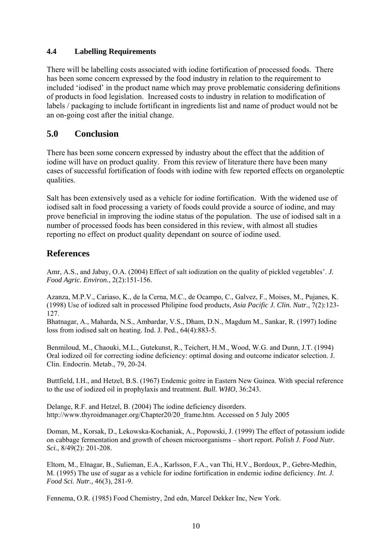#### **4.4 Labelling Requirements**

There will be labelling costs associated with iodine fortification of processed foods. There has been some concern expressed by the food industry in relation to the requirement to included 'iodised' in the product name which may prove problematic considering definitions of products in food legislation. Increased costs to industry in relation to modification of labels / packaging to include fortificant in ingredients list and name of product would not be an on-going cost after the initial change.

## **5.0 Conclusion**

There has been some concern expressed by industry about the effect that the addition of iodine will have on product quality. From this review of literature there have been many cases of successful fortification of foods with iodine with few reported effects on organoleptic qualities.

Salt has been extensively used as a vehicle for iodine fortification. With the widened use of iodised salt in food processing a variety of foods could provide a source of iodine, and may prove beneficial in improving the iodine status of the population. The use of iodised salt in a number of processed foods has been considered in this review, with almost all studies reporting no effect on product quality dependant on source of iodine used.

## **References**

Amr, A.S., and Jabay, O.A. (2004) Effect of salt iodization on the quality of pickled vegetables'. *J. Food Agric. Environ.*, 2(2):151-156.

Azanza, M.P.V., Cariaso, K., de la Cerna, M.C., de Ocampo, C., Galvez, F., Moises, M., Pujanes, K. (1998) Use of iodized salt in processed Philipine food products, *Asia Pacific J. Clin. Nutr.*, 7(2):123- 127.

Bhatnagar, A., Maharda, N.S., Ambardar, V.S., Dham, D.N., Magdum M., Sankar, R. (1997) Iodine loss from iodised salt on heating. Ind. J. Ped., 64(4):883-5.

Benmiloud, M., Chaouki, M.L., Gutekunst, R., Teichert, H.M., Wood, W.G. and Dunn, J.T. (1994) Oral iodized oil for correcting iodine deficiency: optimal dosing and outcome indicator selection. J. Clin. Endocrin. Metab., 79, 20-24.

Buttfield, I.H., and Hetzel, B.S. (1967) Endemic goitre in Eastern New Guinea. With special reference to the use of iodized oil in prophylaxis and treatment. *Bull. WHO*, 36:243.

Delange, R.F. and Hetzel, B. (2004) The iodine deficiency disorders. http://www.thyroidmanager.org/Chapter20/20\_frame.htm. Accessed on 5 July 2005

Doman, M., Korsak, D., Lekowska-Kochaniak, A., Popowski, J. (1999) The effect of potassium iodide on cabbage fermentation and growth of chosen microorganisms – short report. *Polish J. Food Nutr. Sci.*, 8/49(2): 201-208.

Eltom, M., Elnagar, B., Sulieman, E.A., Karlsson, F.A., van Thi, H.V., Bordoux, P., Gebre-Medhin, M. (1995) The use of sugar as a vehicle for iodine fortification in endemic iodine deficiency. *Int. J. Food Sci. Nutr.,* 46(3), 281-9.

Fennema, O.R. (1985) Food Chemistry, 2nd edn, Marcel Dekker Inc, New York.